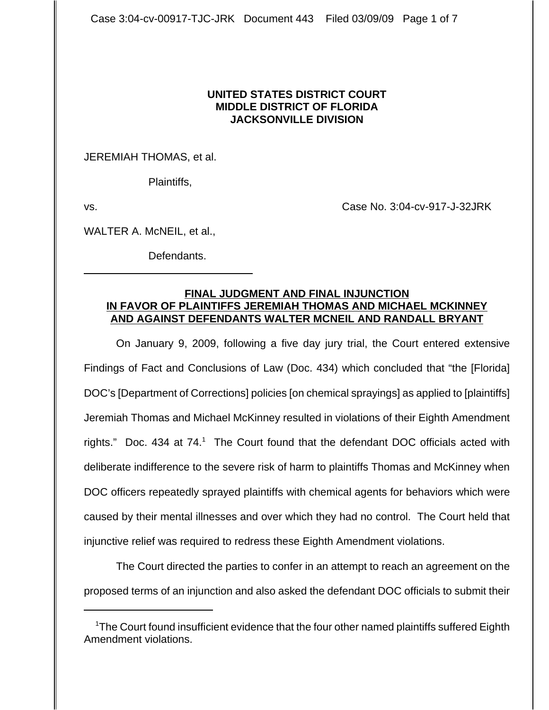## **UNITED STATES DISTRICT COURT MIDDLE DISTRICT OF FLORIDA JACKSONVILLE DIVISION**

JEREMIAH THOMAS, et al.

Plaintiffs,

 $\overline{a}$ 

vs. Case No. 3:04-cv-917-J-32JRK

WALTER A. McNEIL, et al.,

Defendants.

## **FINAL JUDGMENT AND FINAL INJUNCTION IN FAVOR OF PLAINTIFFS JEREMIAH THOMAS AND MICHAEL MCKINNEY AND AGAINST DEFENDANTS WALTER MCNEIL AND RANDALL BRYANT**

On January 9, 2009, following a five day jury trial, the Court entered extensive Findings of Fact and Conclusions of Law (Doc. 434) which concluded that "the [Florida] DOC's [Department of Corrections] policies [on chemical sprayings] as applied to [plaintiffs] Jeremiah Thomas and Michael McKinney resulted in violations of their Eighth Amendment rights." Doc. 434 at  $74.1$  The Court found that the defendant DOC officials acted with deliberate indifference to the severe risk of harm to plaintiffs Thomas and McKinney when DOC officers repeatedly sprayed plaintiffs with chemical agents for behaviors which were caused by their mental illnesses and over which they had no control. The Court held that injunctive relief was required to redress these Eighth Amendment violations.

The Court directed the parties to confer in an attempt to reach an agreement on the proposed terms of an injunction and also asked the defendant DOC officials to submit their

<sup>&</sup>lt;sup>1</sup>The Court found insufficient evidence that the four other named plaintiffs suffered Eighth Amendment violations.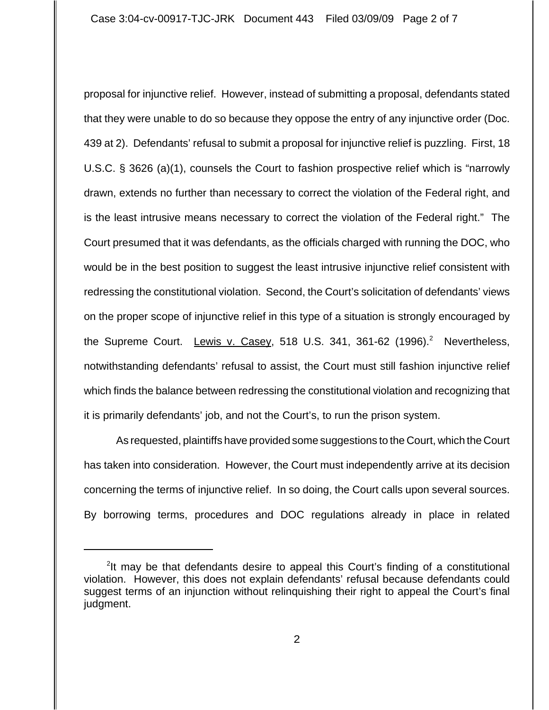proposal for injunctive relief. However, instead of submitting a proposal, defendants stated that they were unable to do so because they oppose the entry of any injunctive order (Doc. 439 at 2). Defendants' refusal to submit a proposal for injunctive relief is puzzling. First, 18 U.S.C. § 3626 (a)(1), counsels the Court to fashion prospective relief which is "narrowly drawn, extends no further than necessary to correct the violation of the Federal right, and is the least intrusive means necessary to correct the violation of the Federal right." The Court presumed that it was defendants, as the officials charged with running the DOC, who would be in the best position to suggest the least intrusive injunctive relief consistent with redressing the constitutional violation. Second, the Court's solicitation of defendants' views on the proper scope of injunctive relief in this type of a situation is strongly encouraged by the Supreme Court. Lewis v. Casey, 518 U.S. 341, 361-62 (1996).<sup>2</sup> Nevertheless, notwithstanding defendants' refusal to assist, the Court must still fashion injunctive relief which finds the balance between redressing the constitutional violation and recognizing that it is primarily defendants' job, and not the Court's, to run the prison system.

As requested, plaintiffs have provided some suggestions to the Court, which the Court has taken into consideration. However, the Court must independently arrive at its decision concerning the terms of injunctive relief. In so doing, the Court calls upon several sources. By borrowing terms, procedures and DOC regulations already in place in related

 $2$ It may be that defendants desire to appeal this Court's finding of a constitutional violation. However, this does not explain defendants' refusal because defendants could suggest terms of an injunction without relinquishing their right to appeal the Court's final judgment.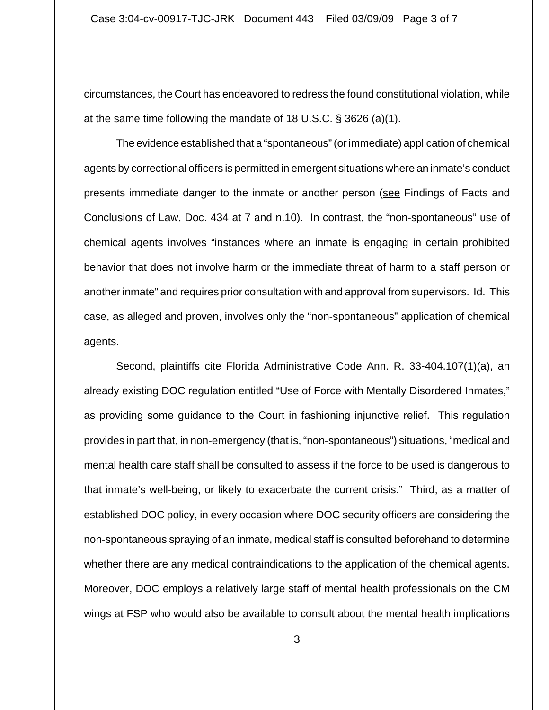circumstances, the Court has endeavored to redress the found constitutional violation, while at the same time following the mandate of 18 U.S.C. § 3626 (a)(1).

The evidence established that a "spontaneous" (or immediate) application of chemical agents by correctional officers is permitted in emergent situations where an inmate's conduct presents immediate danger to the inmate or another person (see Findings of Facts and Conclusions of Law, Doc. 434 at 7 and n.10). In contrast, the "non-spontaneous" use of chemical agents involves "instances where an inmate is engaging in certain prohibited behavior that does not involve harm or the immediate threat of harm to a staff person or another inmate" and requires prior consultation with and approval from supervisors. Id. This case, as alleged and proven, involves only the "non-spontaneous" application of chemical agents.

Second, plaintiffs cite Florida Administrative Code Ann. R. 33-404.107(1)(a), an already existing DOC regulation entitled "Use of Force with Mentally Disordered Inmates," as providing some guidance to the Court in fashioning injunctive relief. This regulation provides in part that, in non-emergency (that is, "non-spontaneous") situations, "medical and mental health care staff shall be consulted to assess if the force to be used is dangerous to that inmate's well-being, or likely to exacerbate the current crisis." Third, as a matter of established DOC policy, in every occasion where DOC security officers are considering the non-spontaneous spraying of an inmate, medical staff is consulted beforehand to determine whether there are any medical contraindications to the application of the chemical agents. Moreover, DOC employs a relatively large staff of mental health professionals on the CM wings at FSP who would also be available to consult about the mental health implications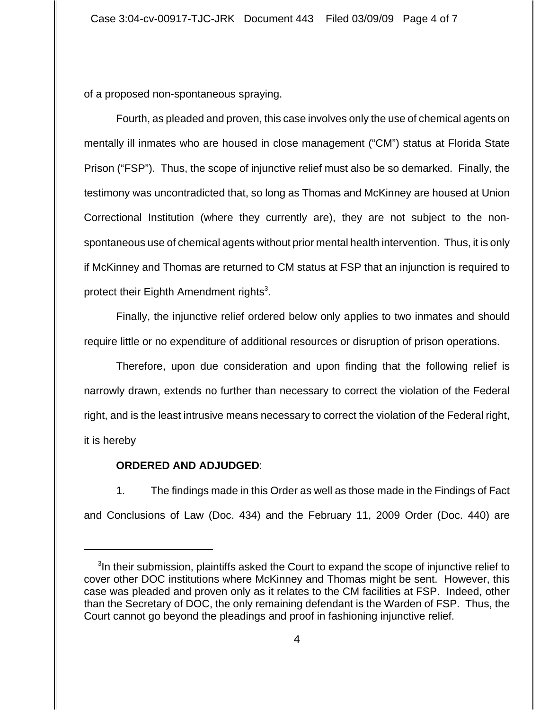of a proposed non-spontaneous spraying.

Fourth, as pleaded and proven, this case involves only the use of chemical agents on mentally ill inmates who are housed in close management ("CM") status at Florida State Prison ("FSP"). Thus, the scope of injunctive relief must also be so demarked. Finally, the testimony was uncontradicted that, so long as Thomas and McKinney are housed at Union Correctional Institution (where they currently are), they are not subject to the nonspontaneous use of chemical agents without prior mental health intervention. Thus, it is only if McKinney and Thomas are returned to CM status at FSP that an injunction is required to protect their Eighth Amendment rights<sup>3</sup>.

Finally, the injunctive relief ordered below only applies to two inmates and should require little or no expenditure of additional resources or disruption of prison operations.

Therefore, upon due consideration and upon finding that the following relief is narrowly drawn, extends no further than necessary to correct the violation of the Federal right, and is the least intrusive means necessary to correct the violation of the Federal right, it is hereby

## **ORDERED AND ADJUDGED**:

1. The findings made in this Order as well as those made in the Findings of Fact and Conclusions of Law (Doc. 434) and the February 11, 2009 Order (Doc. 440) are

 $3$ In their submission, plaintiffs asked the Court to expand the scope of injunctive relief to cover other DOC institutions where McKinney and Thomas might be sent. However, this case was pleaded and proven only as it relates to the CM facilities at FSP. Indeed, other than the Secretary of DOC, the only remaining defendant is the Warden of FSP. Thus, the Court cannot go beyond the pleadings and proof in fashioning injunctive relief.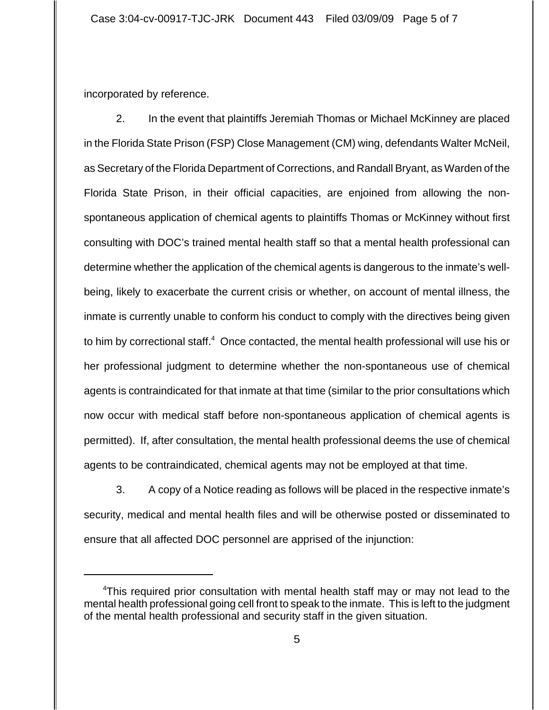incorporated by reference.

2. In the event that plaintiffs Jeremiah Thomas or Michael McKinney are placed in the Florida State Prison (FSP) Close Management (CM) wing, defendants Walter McNeil, as Secretary of the Florida Department of Corrections, and Randall Bryant, as Warden of the Florida State Prison, in their official capacities, are enjoined from allowing the nonspontaneous application of chemical agents to plaintiffs Thomas or McKinney without first consulting with DOC's trained mental health staff so that a mental health professional can determine whether the application of the chemical agents is dangerous to the inmate's wellbeing, likely to exacerbate the current crisis or whether, on account of mental illness, the inmate is currently unable to conform his conduct to comply with the directives being given to him by correctional staff.<sup>4</sup> Once contacted, the mental health professional will use his or her professional judgment to determine whether the non-spontaneous use of chemical agents is contraindicated for that inmate at that time (similar to the prior consultations which now occur with medical staff before non-spontaneous application of chemical agents is permitted). If, after consultation, the mental health professional deems the use of chemical agents to be contraindicated, chemical agents may not be employed at that time.

3. A copy of a Notice reading as follows will be placed in the respective inmate's security, medical and mental health files and will be otherwise posted or disseminated to ensure that all affected DOC personnel are apprised of the injunction:

<sup>&</sup>lt;sup>4</sup>This required prior consultation with mental health staff may or may not lead to the mental health professional going cell front to speak to the inmate. This is left to the judgment of the mental health professional and security staff in the given situation.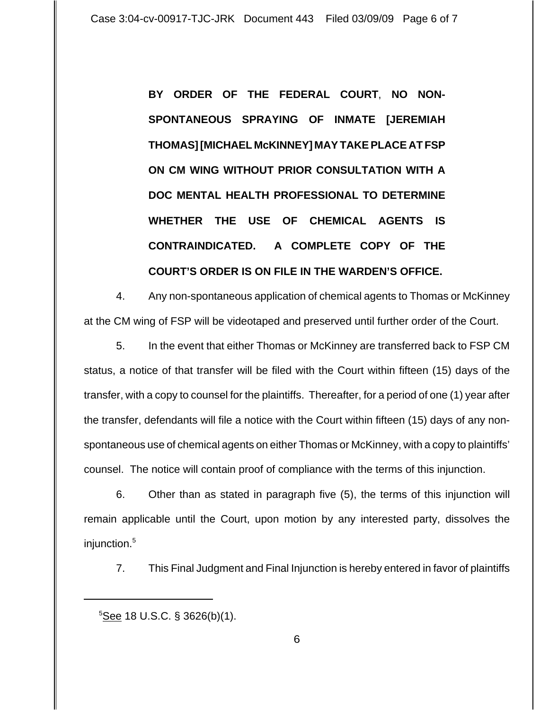**BY ORDER OF THE FEDERAL COURT**, **NO NON-SPONTANEOUS SPRAYING OF INMATE [JEREMIAH THOMAS] [MICHAEL McKINNEY] MAY TAKE PLACE AT FSP ON CM WING WITHOUT PRIOR CONSULTATION WITH A DOC MENTAL HEALTH PROFESSIONAL TO DETERMINE WHETHER THE USE OF CHEMICAL AGENTS IS CONTRAINDICATED. A COMPLETE COPY OF THE COURT'S ORDER IS ON FILE IN THE WARDEN'S OFFICE.**

4. Any non-spontaneous application of chemical agents to Thomas or McKinney at the CM wing of FSP will be videotaped and preserved until further order of the Court.

5. In the event that either Thomas or McKinney are transferred back to FSP CM status, a notice of that transfer will be filed with the Court within fifteen (15) days of the transfer, with a copy to counsel for the plaintiffs. Thereafter, for a period of one (1) year after the transfer, defendants will file a notice with the Court within fifteen (15) days of any nonspontaneous use of chemical agents on either Thomas or McKinney, with a copy to plaintiffs' counsel. The notice will contain proof of compliance with the terms of this injunction.

6. Other than as stated in paragraph five (5), the terms of this injunction will remain applicable until the Court, upon motion by any interested party, dissolves the injunction.<sup>5</sup>

7. This Final Judgment and Final Injunction is hereby entered in favor of plaintiffs

<sup>&</sup>lt;sup>5</sup><u>See</u> 18 U.S.C. § 3626(b)(1).